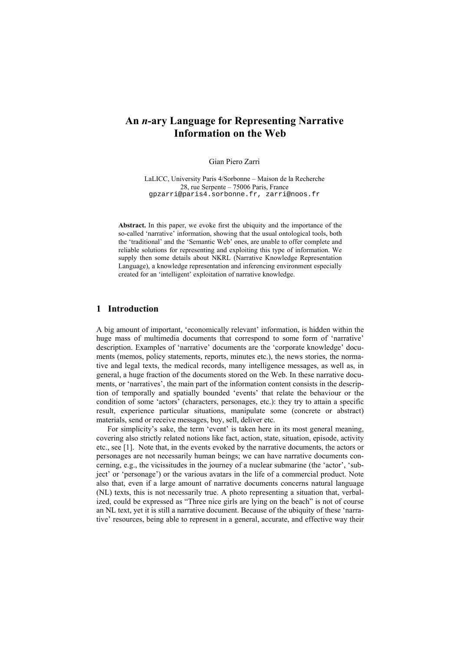# **An** *n-***ary Language for Representing Narrative Information on the Web**

Gian Piero Zarri

LaLICC, University Paris 4/Sorbonne – Maison de la Recherche 28, rue Serpente – 75006 Paris, France gpzarri@paris4.sorbonne.fr, zarri@noos.fr

**Abstract.** In this paper, we evoke first the ubiquity and the importance of the so-called 'narrative' information, showing that the usual ontological tools, both the 'traditional' and the 'Semantic Web' ones, are unable to offer complete and reliable solutions for representing and exploiting this type of information. We supply then some details about NKRL (Narrative Knowledge Representation Language), a knowledge representation and inferencing environment especially created for an 'intelligent' exploitation of narrative knowledge.

# **1 Introduction**

A big amount of important, 'economically relevant' information, is hidden within the huge mass of multimedia documents that correspond to some form of 'narrative' description. Examples of 'narrative' documents are the 'corporate knowledge' documents (memos, policy statements, reports, minutes etc.), the news stories, the normative and legal texts, the medical records, many intelligence messages, as well as, in general, a huge fraction of the documents stored on the Web. In these narrative documents, or 'narratives', the main part of the information content consists in the description of temporally and spatially bounded 'events' that relate the behaviour or the condition of some 'actors' (characters, personages, etc.): they try to attain a specific result, experience particular situations, manipulate some (concrete or abstract) materials, send or receive messages, buy, sell, deliver etc.

For simplicity's sake, the term 'event' is taken here in its most general meaning, covering also strictly related notions like fact, action, state, situation, episode, activity etc., see [1]. Note that, in the events evoked by the narrative documents, the actors or personages are not necessarily human beings; we can have narrative documents concerning, e.g., the vicissitudes in the journey of a nuclear submarine (the 'actor', 'subject' or 'personage') or the various avatars in the life of a commercial product. Note also that, even if a large amount of narrative documents concerns natural language (NL) texts, this is not necessarily true. A photo representing a situation that, verbalized, could be expressed as "Three nice girls are lying on the beach" is not of course an NL text, yet it is still a narrative document. Because of the ubiquity of these 'narrative' resources, being able to represent in a general, accurate, and effective way their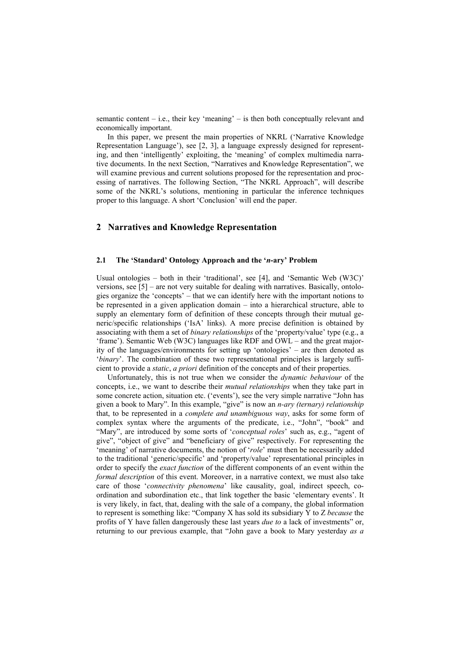semantic content  $-$  i.e., their key 'meaning'  $-$  is then both conceptually relevant and economically important.

In this paper, we present the main properties of NKRL ('Narrative Knowledge Representation Language'), see [2, 3], a language expressly designed for representing, and then 'intelligently' exploiting, the 'meaning' of complex multimedia narrative documents. In the next Section, "Narratives and Knowledge Representation", we will examine previous and current solutions proposed for the representation and processing of narratives. The following Section, "The NKRL Approach", will describe some of the NKRL's solutions, mentioning in particular the inference techniques proper to this language. A short 'Conclusion' will end the paper.

## **2 Narratives and Knowledge Representation**

### **2.1 The 'Standard' Ontology Approach and the '***n-***ary' Problem**

Usual ontologies – both in their 'traditional', see [4], and 'Semantic Web (W3C)' versions, see [5] – are not very suitable for dealing with narratives. Basically, ontologies organize the 'concepts' – that we can identify here with the important notions to be represented in a given application domain – into a hierarchical structure, able to supply an elementary form of definition of these concepts through their mutual generic/specific relationships ('IsA' links). A more precise definition is obtained by associating with them a set of *binary relationships* of the 'property/value' type (e.g., a 'frame'). Semantic Web (W3C) languages like RDF and OWL – and the great majority of the languages/environments for setting up 'ontologies' – are then denoted as '*binary*'. The combination of these two representational principles is largely sufficient to provide a *static*, *a priori* definition of the concepts and of their properties.

Unfortunately, this is not true when we consider the *dynamic behaviour* of the concepts, i.e., we want to describe their *mutual relationships* when they take part in some concrete action, situation etc. ('events'), see the very simple narrative "John has given a book to Mary". In this example, "give" is now an *n-ary (ternary) relationship* that, to be represented in a *complete and unambiguous way*, asks for some form of complex syntax where the arguments of the predicate, i.e., "John", "book" and "Mary", are introduced by some sorts of '*conceptual roles*' such as, e.g., "agent of give", "object of give" and "beneficiary of give" respectively. For representing the 'meaning' of narrative documents, the notion of '*role*' must then be necessarily added to the traditional 'generic/specific' and 'property/value' representational principles in order to specify the *exact function* of the different components of an event within the *formal description* of this event. Moreover, in a narrative context, we must also take care of those '*connectivity phenomena*' like causality, goal, indirect speech, coordination and subordination etc., that link together the basic 'elementary events'. It is very likely, in fact, that, dealing with the sale of a company, the global information to represent is something like: "Company X has sold its subsidiary Y to Z *because* the profits of Y have fallen dangerously these last years *due to* a lack of investments" or, returning to our previous example, that "John gave a book to Mary yesterday *as a*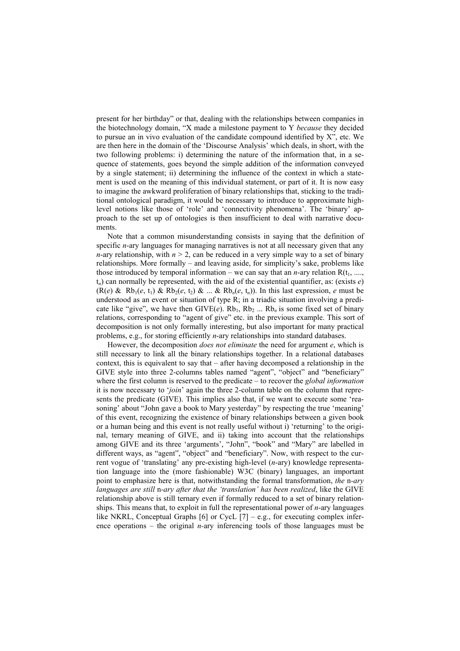present for her birthday" or that, dealing with the relationships between companies in the biotechnology domain, "X made a milestone payment to Y *because* they decided to pursue an in vivo evaluation of the candidate compound identified by X", etc. We are then here in the domain of the 'Discourse Analysis' which deals, in short, with the two following problems: i) determining the nature of the information that, in a sequence of statements, goes beyond the simple addition of the information conveyed by a single statement; ii) determining the influence of the context in which a statement is used on the meaning of this individual statement, or part of it. It is now easy to imagine the awkward proliferation of binary relationships that, sticking to the traditional ontological paradigm, it would be necessary to introduce to approximate highlevel notions like those of 'role' and 'connectivity phenomena'. The 'binary' approach to the set up of ontologies is then insufficient to deal with narrative documents.

Note that a common misunderstanding consists in saying that the definition of specific *n*-ary languages for managing narratives is not at all necessary given that any *n*-ary relationship, with  $n > 2$ , can be reduced in a very simple way to a set of binary relationships. More formally – and leaving aside, for simplicity's sake, problems like those introduced by temporal information – we can say that an *n*-ary relation  $R(t_1, \ldots, t_n)$ t*n*) can normally be represented, with the aid of the existential quantifier, as: (exists *e*)  $(Re)$  & Rb<sub>1</sub>(*e*, t<sub>1</sub>) & Rb<sub>2</sub>(*e*, t<sub>2</sub>) & ... & Rb<sub>n</sub>(*e*, t<sub>n</sub>)). In this last expression, *e* must be understood as an event or situation of type R; in a triadic situation involving a predicate like "give", we have then  $GIVE(e)$ .  $Rb_1$ ,  $Rb_2$  ...  $Rb_n$  is some fixed set of binary relations, corresponding to "agent of give" etc. in the previous example. This sort of decomposition is not only formally interesting, but also important for many practical problems, e.g., for storing efficiently *n*-ary relationships into standard databases.

However, the decomposition *does not eliminate* the need for argument *e*, which is still necessary to link all the binary relationships together. In a relational databases context, this is equivalent to say that – after having decomposed a relationship in the GIVE style into three 2-columns tables named "agent", "object" and "beneficiary" where the first column is reserved to the predicate – to recover the *global information* it is now necessary to '*join*' again the three 2-column table on the column that represents the predicate (GIVE). This implies also that, if we want to execute some 'reasoning' about "John gave a book to Mary yesterday" by respecting the true 'meaning' of this event, recognizing the existence of binary relationships between a given book or a human being and this event is not really useful without i) 'returning' to the original, ternary meaning of GIVE, and ii) taking into account that the relationships among GIVE and its three 'arguments', "John", "book" and "Mary" are labelled in different ways, as "agent", "object" and "beneficiary". Now, with respect to the current vogue of 'translating' any pre-existing high-level (*n*-ary) knowledge representation language into the (more fashionable) W3C (binary) languages, an important point to emphasize here is that, notwithstanding the formal transformation, *the* n*-ary languages are still* n*-ary after that the 'translation' has been realized*, like the GIVE relationship above is still ternary even if formally reduced to a set of binary relationships. This means that, to exploit in full the representational power of *n*-ary languages like NKRL, Conceptual Graphs [6] or CycL [7] – e.g., for executing complex inference operations – the original *n-*ary inferencing tools of those languages must be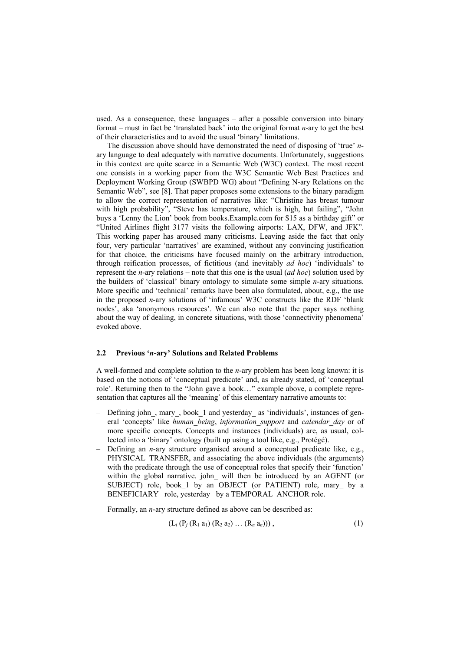used. As a consequence, these languages – after a possible conversion into binary format – must in fact be 'translated back' into the original format *n*-ary to get the best of their characteristics and to avoid the usual 'binary' limitations.

The discussion above should have demonstrated the need of disposing of 'true' *n*ary language to deal adequately with narrative documents. Unfortunately, suggestions in this context are quite scarce in a Semantic Web (W3C) context. The most recent one consists in a working paper from the W3C Semantic Web Best Practices and Deployment Working Group (SWBPD WG) about "Defining N-ary Relations on the Semantic Web", see [8]. That paper proposes some extensions to the binary paradigm to allow the correct representation of narratives like: "Christine has breast tumour with high probability", "Steve has temperature, which is high, but failing", "John buys a 'Lenny the Lion' book from books.Example.com for \$15 as a birthday gift" or "United Airlines flight 3177 visits the following airports: LAX, DFW, and JFK". This working paper has aroused many criticisms. Leaving aside the fact that only four, very particular 'narratives' are examined, without any convincing justification for that choice, the criticisms have focused mainly on the arbitrary introduction, through reification processes, of fictitious (and inevitably *ad hoc*) 'individuals' to represent the *n*-ary relations – note that this one is the usual (*ad hoc*) solution used by the builders of 'classical' binary ontology to simulate some simple *n*-ary situations. More specific and 'technical' remarks have been also formulated, about, e.g., the use in the proposed *n-*ary solutions of 'infamous' W3C constructs like the RDF 'blank nodes', aka 'anonymous resources'. We can also note that the paper says nothing about the way of dealing, in concrete situations, with those 'connectivity phenomena' evoked above.

#### **2.2 Previous '***n-***ary' Solutions and Related Problems**

A well-formed and complete solution to the *n*-ary problem has been long known: it is based on the notions of 'conceptual predicate' and, as already stated, of 'conceptual role'. Returning then to the "John gave a book…" example above, a complete representation that captures all the 'meaning' of this elementary narrative amounts to:

- Defining john, mary, book 1 and yesterday as 'individuals', instances of general 'concepts' like *human\_being*, *information\_support* and *calendar\_day* or of more specific concepts. Concepts and instances (individuals) are, as usual, collected into a 'binary' ontology (built up using a tool like, e.g., Protégé).
- Defining an *n*-ary structure organised around a conceptual predicate like, e.g., PHYSICAL TRANSFER, and associating the above individuals (the arguments) with the predicate through the use of conceptual roles that specify their 'function' within the global narrative. john will then be introduced by an AGENT (or SUBJECT) role, book 1 by an OBJECT (or PATIENT) role, mary by a BENEFICIARY\_role, yesterday\_by a TEMPORAL\_ANCHOR role.

Formally, an *n*-ary structure defined as above can be described as:

$$
(L_i (P_j (R_1 a_1) (R_2 a_2) ... (R_n a_n))) ,
$$
 (1)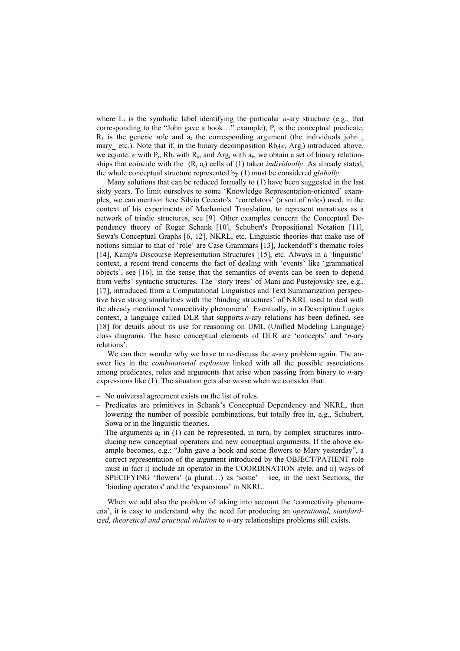where  $L_i$  is the symbolic label identifying the particular *n*-ary structure (e.g., that corresponding to the "John gave a book..." example),  $P_i$  is the conceptual predicate,  $R_k$  is the generic role and  $a_k$  the corresponding argument (the individuals john, mary\_ etc.). Note that if, in the binary decomposition Rb*i*(*e*, Arg*i*) introduced above, we equate: *e* with  $P_i$ , Rb<sub>i</sub> with R<sub>k</sub>, and Arg<sub>i</sub> with  $a_k$ , we obtain a set of binary relationships that coincide with the (R*i* a*i*) cells of (1) taken *individually*. As already stated, the whole conceptual structure represented by (1) must be considered *globally*.

Many solutions that can be reduced formally to (1) have been suggested in the last sixty years. To limit ourselves to some 'Knowledge Representation-oriented' examples, we can mention here Silvio Ceccato's 'correlators' (a sort of roles) used, in the context of his experiments of Mechanical Translation, to represent narratives as a network of triadic structures, see [9]. Other examples concern the Conceptual Dependency theory of Roger Schank [10], Schubert's Propositional Notation [11], Sowa's Conceptual Graphs [6, 12], NKRL, etc. Linguistic theories that make use of notions similar to that of 'role' are Case Grammars [13], Jackendoff's thematic roles [14], Kamp's Discourse Representation Structures [15], etc. Always in a 'linguistic' context, a recent trend concerns the fact of dealing with 'events' like 'grammatical objects', see [16], in the sense that the semantics of events can be seen to depend from verbs' syntactic structures. The 'story trees' of Mani and Pustejovsky see, e.g., [17], introduced from a Computational Linguistics and Text Summarization perspective have strong similarities with the 'binding structures' of NKRL used to deal with the already mentioned 'connectivity phenomena'. Eventually, in a Description Logics context, a language called DLR that supports *n*-ary relations has been defined, see [18] for details about its use for reasoning on UML (Unified Modeling Language) class diagrams. The basic conceptual elements of DLR are 'concepts' and '*n-*ary relations'.

We can then wonder why we have to re-discuss the *n*-ary problem again. The answer lies in the *combinatorial explosion* linked with all the possible associations among predicates, roles and arguments that arise when passing from binary to *n*-ary expressions like (1). The situation gets also worse when we consider that:

- No universal agreement exists on the list of roles.
- Predicates are primitives in Schank's Conceptual Dependency and NKRL, then lowering the number of possible combinations, but totally free in, e.g., Schubert, Sowa or in the linguistic theories.
- $-$  The arguments  $a_k$  in (1) can be represented, in turn, by complex structures introducing new conceptual operators and new conceptual arguments. If the above example becomes, e.g.: "John gave a book and some flowers to Mary yesterday", a correct representation of the argument introduced by the OBJECT/PATIENT role must in fact i) include an operator in the COORDINATION style, and ii) ways of SPECIFYING 'flowers' (a plural…) as 'some' – see, in the next Sections, the 'binding operators' and the 'expansions' in NKRL.

When we add also the problem of taking into account the 'connectivity phenomena', it is easy to understand why the need for producing an *operational, standardized, theoretical and practical solution* to *n-*ary relationships problems still exists.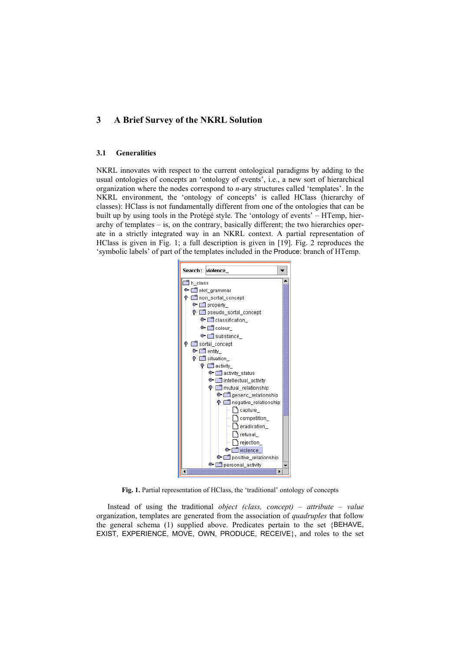## **3 A Brief Survey of the NKRL Solution**

#### **3.1 Generalities**

NKRL innovates with respect to the current ontological paradigms by adding to the usual ontologies of concepts an 'ontology of events', i.e., a new sort of hierarchical organization where the nodes correspond to *n*-ary structures called 'templates'. In the NKRL environment, the 'ontology of concepts' is called HClass (hierarchy of classes): HClass is not fundamentally different from one of the ontologies that can be built up by using tools in the Protégé style. The 'ontology of events' – HTemp, hierarchy of templates – is, on the contrary, basically different; the two hierarchies operate in a strictly integrated way in an NKRL context. A partial representation of HClass is given in Fig. 1; a full description is given in [19]. Fig. 2 reproduces the 'symbolic labels' of part of the templates included in the Produce: branch of HTemp.



Fig. 1. Partial representation of HClass, the 'traditional' ontology of concepts

Instead of using the traditional *object (class, concept) – attribute – value* organization, templates are generated from the association of *quadruples* that follow the general schema (1) supplied above. Predicates pertain to the set {BEHAVE, EXIST, EXPERIENCE, MOVE, OWN, PRODUCE, RECEIVE}, and roles to the set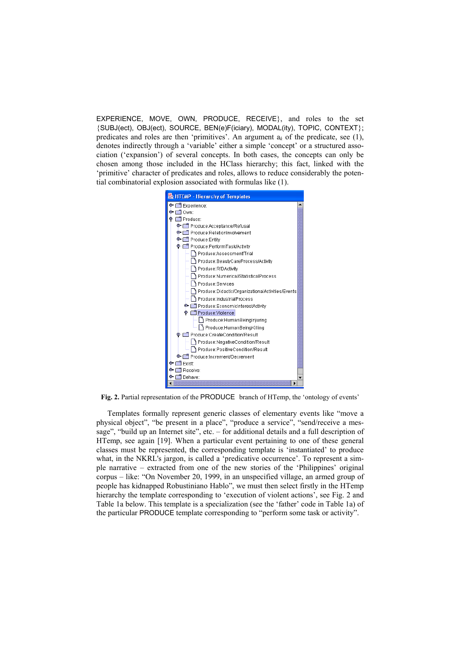EXPERIENCE, MOVE, OWN, PRODUCE, RECEIVE}, and roles to the set {SUBJ(ect), OBJ(ect), SOURCE, BEN(e)F(iciary), MODAL(ity), TOPIC, CONTEXT}; predicates and roles are then 'primitives'. An argument  $a_k$  of the predicate, see (1), denotes indirectly through a 'variable' either a simple 'concept' or a structured association ('expansion') of several concepts. In both cases, the concepts can only be chosen among those included in the HClass hierarchy; this fact, linked with the 'primitive' character of predicates and roles, allows to reduce considerably the potential combinatorial explosion associated with formulas like (1).



Fig. 2. Partial representation of the PRODUCE branch of HTemp, the 'ontology of events'

Templates formally represent generic classes of elementary events like "move a physical object", "be present in a place", "produce a service", "send/receive a message", "build up an Internet site", etc. – for additional details and a full description of HTemp, see again [19]. When a particular event pertaining to one of these general classes must be represented, the corresponding template is 'instantiated' to produce what, in the NKRL's jargon, is called a 'predicative occurrence'. To represent a simple narrative – extracted from one of the new stories of the 'Philippines' original corpus – like: "On November 20, 1999, in an unspecified village, an armed group of people has kidnapped Robustiniano Hablo", we must then select firstly in the HTemp hierarchy the template corresponding to 'execution of violent actions', see Fig. 2 and Table 1a below. This template is a specialization (see the 'father' code in Table 1a) of the particular PRODUCE template corresponding to "perform some task or activity".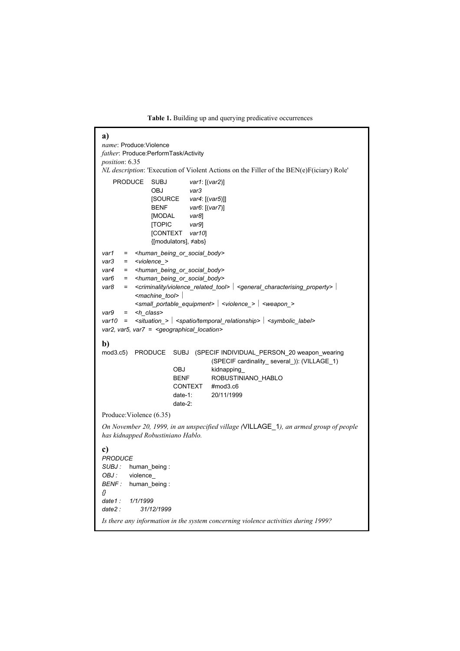**Table 1.** Building up and querying predicative occurrences

```
I
a) 
name: Produce:Violence
father: Produce:PerformTask/Activity 
position: 6.35
NL description: 'Execution of Violent Actions on the Filler of the BEN(e)F(iciary) Role' 
   PRODUCE SUBJ var1: [(var2)] 
                 OBJ var3
                 [SOURCE var4: [(var5)]] 
                 BENF var6: [(var7)] 
                 [MODAL var8] 
                 [TOPIC var9] 
                 [CONTEXT var10] 
                {[modulators], ≠abs} 
var1 = <human_being_or_social_body> 
 var3 = <violence_> 
 var4 = <human_being_or_social_body> 
 var6 = <human_being_or_social_body> 
 var8 = <criminality/violence_related_tool>  <general_characterising_property> 
            <machine_tool> 
            <small_portable_equipment>  <violence_>  <weapon_> 
 var9 = <h_class> 
var10 = \langlesituation > | \langlespatio/temporal relationship> | \langlesymbolic label>
 var2, var5, var7 = <geographical_location> 
b) 
mod3.c5) PRODUCE SUBJ (SPECIF INDIVIDUAL_PERSON_20 weapon_wearing 
                                    (SPECIF cardinality_ several_)): (VILLAGE_1) 
                       OBJ kidnapping
                       BENF ROBUSTINIANO HABLO
                        CONTEXT #mod3.c6 
                        date-1: 20/11/1999 
                        date-2: 
 Produce:Violence (6.35) 
On November 20, 1999, in an unspecified village (VILLAGE_1), an armed group of people 
has kidnapped Robustiniano Hablo. 
c) 
PRODUCE 
SUBJ : human_being :
OBJ : violence
BENF : human_being : 
{} 
date1 : 1/1/1999 
date2 : 31/12/1999
Is there any information in the system concerning violence activities during 1999?
```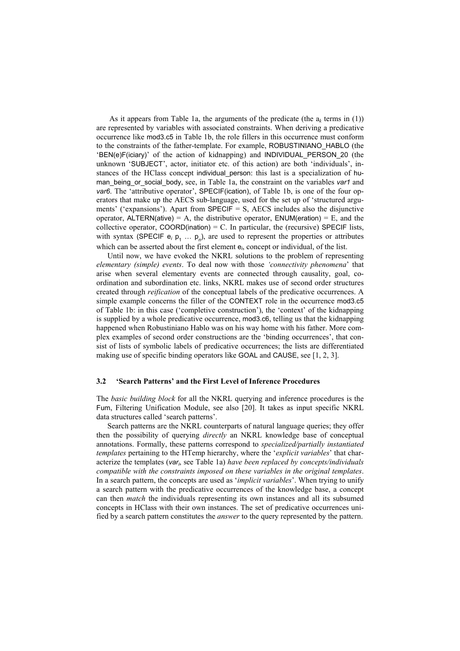As it appears from Table 1a, the arguments of the predicate (the  $a_k$  terms in (1)) are represented by variables with associated constraints. When deriving a predicative occurrence like mod3.c5 in Table 1b, the role fillers in this occurrence must conform to the constraints of the father-template. For example, ROBUSTINIANO\_HABLO (the 'BEN(e)F(iciary)' of the action of kidnapping) and INDIVIDUAL\_PERSON\_20 (the unknown 'SUBJECT', actor, initiator etc. of this action) are both 'individuals', instances of the HClass concept individual person: this last is a specialization of human being or social body, see, in Table 1a, the constraint on the variables *var1* and var6. The 'attributive operator', SPECIF(ication), of Table 1b, is one of the four operators that make up the AECS sub-language, used for the set up of 'structured arguments' ('expansions'). Apart from  $SPECIF = S$ , AECS includes also the disjunctive operator, ALTERN(ative) = A, the distributive operator, ENUM(eration) = E, and the collective operator,  $COORD$ (ination) = C. In particular, the (recursive) SPECIF lists, with syntax (SPECIF  $e_i$ ,  $p_1$ ,  $p_n$ ), are used to represent the properties or attributes which can be asserted about the first element  $e_i$ , concept or individual, of the list.

Until now, we have evoked the NKRL solutions to the problem of representing *elementary (simple) events*. To deal now with those *'connectivity phenomena*' that arise when several elementary events are connected through causality, goal, coordination and subordination etc. links, NKRL makes use of second order structures created through *reification* of the conceptual labels of the predicative occurrences. A simple example concerns the filler of the CONTEXT role in the occurrence mod3.c5 of Table 1b: in this case ('completive construction'), the 'context' of the kidnapping is supplied by a whole predicative occurrence, mod3.c6, telling us that the kidnapping happened when Robustiniano Hablo was on his way home with his father. More complex examples of second order constructions are the 'binding occurrences', that consist of lists of symbolic labels of predicative occurrences; the lists are differentiated making use of specific binding operators like GOAL and CAUSE, see [1, 2, 3].

#### **3.2 'Search Patterns' and the First Level of Inference Procedures**

The *basic building block* for all the NKRL querying and inference procedures is the Fum, Filtering Unification Module, see also [20]. It takes as input specific NKRL data structures called 'search patterns'.

Search patterns are the NKRL counterparts of natural language queries; they offer then the possibility of querying *directly* an NKRL knowledge base of conceptual annotations. Formally, these patterns correspond to *specialized/partially instantiated templates* pertaining to the HTemp hierarchy, where the '*explicit variables*' that characterize the templates (*vari* , see Table 1a) *have been replaced by concepts/individuals compatible with the constraints imposed on these variables in the original templates*. In a search pattern, the concepts are used as '*implicit variables*'. When trying to unify a search pattern with the predicative occurrences of the knowledge base, a concept can then *match* the individuals representing its own instances and all its subsumed concepts in HClass with their own instances. The set of predicative occurrences unified by a search pattern constitutes the *answer* to the query represented by the pattern.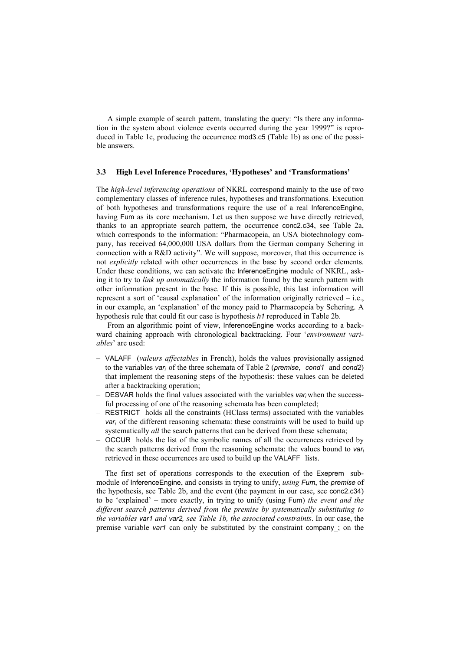A simple example of search pattern, translating the query: "Is there any information in the system about violence events occurred during the year 1999?" is reproduced in Table 1c, producing the occurrence mod3.c5 (Table 1b) as one of the possible answers.

#### **3.3 High Level Inference Procedures, 'Hypotheses' and 'Transformations'**

The *high-level inferencing operations* of NKRL correspond mainly to the use of two complementary classes of inference rules, hypotheses and transformations. Execution of both hypotheses and transformations require the use of a real InferenceEngine, having Fum as its core mechanism. Let us then suppose we have directly retrieved, thanks to an appropriate search pattern, the occurrence conc2.c34, see Table 2a, which corresponds to the information: "Pharmacopeia, an USA biotechnology company, has received 64,000,000 USA dollars from the German company Schering in connection with a R&D activity". We will suppose, moreover, that this occurrence is not *explicitly* related with other occurrences in the base by second order elements. Under these conditions, we can activate the InferenceEngine module of NKRL, asking it to try to *link up automatically* the information found by the search pattern with other information present in the base. If this is possible, this last information will represent a sort of 'causal explanation' of the information originally retrieved – i.e., in our example, an 'explanation' of the money paid to Pharmacopeia by Schering. A hypothesis rule that could fit our case is hypothesis *h1* reproduced in Table 2b.

From an algorithmic point of view, InferenceEngine works according to a backward chaining approach with chronological backtracking. Four '*environment variables*' are used:

- VALAFF (*valeurs affectables* in French), holds the values provisionally assigned to the variables *vari* of the three schemata of Table 2 (*premise*, *cond1* and *cond2*) that implement the reasoning steps of the hypothesis: these values can be deleted after a backtracking operation;
- DESVAR holds the final values associated with the variables *vari* when the successful processing of one of the reasoning schemata has been completed;
- RESTRICT holds all the constraints (HClass terms) associated with the variables *var<sub>i</sub>* of the different reasoning schemata: these constraints will be used to build up systematically *all* the search patterns that can be derived from these schemata;
- OCCUR holds the list of the symbolic names of all the occurrences retrieved by the search patterns derived from the reasoning schemata: the values bound to *vari* retrieved in these occurrences are used to build up the VALAFF lists.

The first set of operations corresponds to the execution of the Exeprem submodule of InferenceEngine, and consists in trying to unify, *using Fum*, the *premise* of the hypothesis, see Table 2b, and the event (the payment in our case, see conc2.c34) to be 'explained' – more exactly, in trying to unify (using Fum) *the event and the different search patterns derived from the premise by systematically substituting to the variables var1 and var2, see Table 1b, the associated constraints*. In our case, the premise variable *var1* can only be substituted by the constraint company\_; on the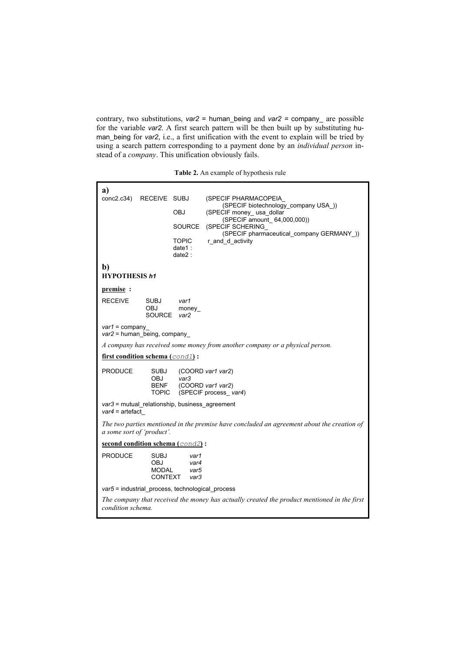contrary, two substitutions, *var2* = human\_being and *var2 =* company\_ are possible for the variable *var2*. A first search pattern will be then built up by substituting human\_being for *var2*, i.e., a first unification with the event to explain will be tried by using a search pattern corresponding to a payment done by an *individual person* instead of a *company*. This unification obviously fails.

| a)                                                                                                                      |                                                   |                                     |                                                                                                                                                                                                              |  |  |  |  |  |  |
|-------------------------------------------------------------------------------------------------------------------------|---------------------------------------------------|-------------------------------------|--------------------------------------------------------------------------------------------------------------------------------------------------------------------------------------------------------------|--|--|--|--|--|--|
| conc2.c34)                                                                                                              | RECEIVE SUBJ                                      |                                     | (SPECIF PHARMACOPEIA<br>(SPECIF biotechnology_company USA_))<br>(SPECIF money_usa_dollar<br>(SPECIF amount 64,000,000))<br>(SPECIF SCHERING<br>(SPECIF pharmaceutical_company GERMANY_))<br>r and d activity |  |  |  |  |  |  |
|                                                                                                                         |                                                   | <b>OBJ</b>                          |                                                                                                                                                                                                              |  |  |  |  |  |  |
|                                                                                                                         |                                                   | SOURCE                              |                                                                                                                                                                                                              |  |  |  |  |  |  |
|                                                                                                                         |                                                   | <b>TOPIC</b><br>date1:<br>date $2:$ |                                                                                                                                                                                                              |  |  |  |  |  |  |
| b)                                                                                                                      |                                                   |                                     |                                                                                                                                                                                                              |  |  |  |  |  |  |
| <b>HYPOTHESIS h1</b>                                                                                                    |                                                   |                                     |                                                                                                                                                                                                              |  |  |  |  |  |  |
| premise:                                                                                                                |                                                   |                                     |                                                                                                                                                                                                              |  |  |  |  |  |  |
| <b>RECEIVE</b>                                                                                                          | <b>SUBJ</b><br>OBJ<br>SOURCE var2                 | var1<br>money                       |                                                                                                                                                                                                              |  |  |  |  |  |  |
| var1 = company<br>var2 = human_being, company_                                                                          |                                                   |                                     |                                                                                                                                                                                                              |  |  |  |  |  |  |
| A company has received some money from another company or a physical person.                                            |                                                   |                                     |                                                                                                                                                                                                              |  |  |  |  |  |  |
| first condition schema (cond1):                                                                                         |                                                   |                                     |                                                                                                                                                                                                              |  |  |  |  |  |  |
| <b>PRODUCE</b>                                                                                                          | SUBJ<br><b>OBJ</b><br><b>BENF</b><br><b>TOPIC</b> | var3                                | (COORD var1 var2)<br>(COORD var1 var2)<br>(SPECIF process var4)                                                                                                                                              |  |  |  |  |  |  |
| $var3$ = mutual relationship, business agreement<br>var4 = artefact                                                     |                                                   |                                     |                                                                                                                                                                                                              |  |  |  |  |  |  |
| The two parties mentioned in the premise have concluded an agreement about the creation of<br>a some sort of 'product'. |                                                   |                                     |                                                                                                                                                                                                              |  |  |  |  |  |  |
| second condition schema (cond2):                                                                                        |                                                   |                                     |                                                                                                                                                                                                              |  |  |  |  |  |  |
| <b>PRODUCE</b>                                                                                                          | SUBJ<br><b>OBJ</b><br><b>MODAL</b><br>CONTEXT     | var1<br>var4<br>var5<br>var3        |                                                                                                                                                                                                              |  |  |  |  |  |  |
| var5 = industrial_process, technological_process                                                                        |                                                   |                                     |                                                                                                                                                                                                              |  |  |  |  |  |  |
| condition schema.                                                                                                       |                                                   |                                     | The company that received the money has actually created the product mentioned in the first                                                                                                                  |  |  |  |  |  |  |

**Table 2.** An example of hypothesis rule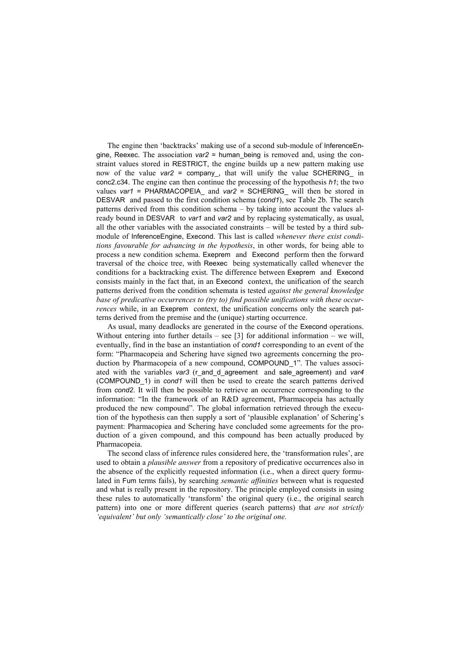The engine then 'backtracks' making use of a second sub-module of InferenceEngine, Reexec. The association *var2* = human\_being is removed and, using the constraint values stored in RESTRICT, the engine builds up a new pattern making use now of the value var2 = company, that will unify the value SCHERING in conc2.c34. The engine can then continue the processing of the hypothesis *h1*; the two values *var1* = PHARMACOPEIA\_ and *var2* = SCHERING\_ will then be stored in DESVAR and passed to the first condition schema (*cond1*), see Table 2b. The search patterns derived from this condition schema – by taking into account the values already bound in DESVAR to *var1* and *var2* and by replacing systematically, as usual, all the other variables with the associated constraints – will be tested by a third submodule of InferenceEngine, Execond. This last is called *whenever there exist conditions favourable for advancing in the hypothesis*, in other words, for being able to process a new condition schema. Exeprem and Execond perform then the forward traversal of the choice tree, with Reexec being systematically called whenever the conditions for a backtracking exist. The difference between Exeprem and Execond consists mainly in the fact that, in an Execond context, the unification of the search patterns derived from the condition schemata is tested *against the general knowledge base of predicative occurrences to (try to) find possible unifications with these occurrences* while, in an Exeprem context, the unification concerns only the search patterns derived from the premise and the (unique) starting occurrence.

As usual, many deadlocks are generated in the course of the Execond operations. Without entering into further details  $-$  see [3] for additional information  $-$  we will, eventually, find in the base an instantiation of *cond1* corresponding to an event of the form: "Pharmacopeia and Schering have signed two agreements concerning the production by Pharmacopeia of a new compound, COMPOUND\_1". The values associated with the variables *var3* (r\_and\_d\_agreement and sale\_agreement) and *var4* (COMPOUND\_1) in *cond1* will then be used to create the search patterns derived from *cond2*. It will then be possible to retrieve an occurrence corresponding to the information: "In the framework of an R&D agreement, Pharmacopeia has actually produced the new compound". The global information retrieved through the execution of the hypothesis can then supply a sort of 'plausible explanation' of Schering's payment: Pharmacopiea and Schering have concluded some agreements for the production of a given compound, and this compound has been actually produced by Pharmacopeia.

The second class of inference rules considered here, the 'transformation rules', are used to obtain a *plausible answer* from a repository of predicative occurrences also in the absence of the explicitly requested information (i.e., when a direct query formulated in Fum terms fails), by searching *semantic affinities* between what is requested and what is really present in the repository. The principle employed consists in using these rules to automatically 'transform' the original query (i.e., the original search pattern) into one or more different queries (search patterns) that *are not strictly 'equivalent' but only 'semantically close' to the original one.*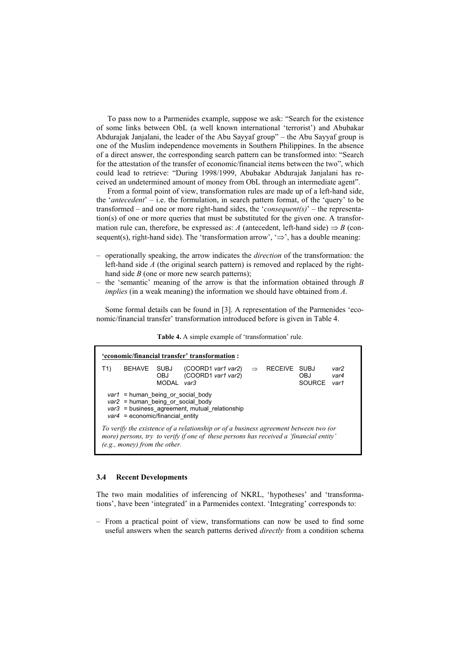To pass now to a Parmenides example, suppose we ask: "Search for the existence of some links between ObL (a well known international 'terrorist') and Abubakar Abdurajak Janjalani, the leader of the Abu Sayyaf group" – the Abu Sayyaf group is one of the Muslim independence movements in Southern Philippines. In the absence of a direct answer, the corresponding search pattern can be transformed into: "Search for the attestation of the transfer of economic/financial items between the two", which could lead to retrieve: "During 1998/1999, Abubakar Abdurajak Janjalani has received an undetermined amount of money from ObL through an intermediate agent".

From a formal point of view, transformation rules are made up of a left-hand side, the '*antecedent*' – i.e. the formulation, in search pattern format, of the 'query' to be transformed – and one or more right-hand sides, the '*consequent(s)*' – the representation(s) of one or more queries that must be substituted for the given one. A transformation rule can, therefore, be expressed as: *A* (antecedent, left-hand side)  $\Rightarrow$  *B* (consequent(s), right-hand side). The 'transformation arrow', ' $\Rightarrow$ ', has a double meaning:

- operationally speaking, the arrow indicates the *direction* of the transformation: the left-hand side *A* (the original search pattern) is removed and replaced by the righthand side *B* (one or more new search patterns);
- the 'semantic' meaning of the arrow is that the information obtained through *B implies* (in a weak meaning) the information we should have obtained from *A*.

Some formal details can be found in [3]. A representation of the Parmenides 'economic/financial transfer' transformation introduced before is given in Table 4.

| 'economic/financial transfer' transformation :                                                                                                                       |                                 |                                    |                                                                                                                                                                                |  |         |                              |                      |  |
|----------------------------------------------------------------------------------------------------------------------------------------------------------------------|---------------------------------|------------------------------------|--------------------------------------------------------------------------------------------------------------------------------------------------------------------------------|--|---------|------------------------------|----------------------|--|
| T1)                                                                                                                                                                  | <b>BEHAVE</b>                   | <b>SUBJ</b><br><b>OBJ</b><br>MODAL | (COORD1 var1 var2) $\Rightarrow$<br>(COORD1 var1 var2)<br>var3                                                                                                                 |  | RECEIVE | SUBJ<br>OBJ<br><b>SOURCE</b> | var2<br>var4<br>var1 |  |
| $var1$ = human being or social body<br>$var2$ = human_being_or_social_body<br>$var3$ = business agreement, mutual relationship<br>$var4 = economic/financial$ entity |                                 |                                    |                                                                                                                                                                                |  |         |                              |                      |  |
|                                                                                                                                                                      | $(e.g., money)$ from the other. |                                    | To verify the existence of a relationship or of a business agreement between two (or<br>more) persons, try to verify if one of these persons has received a 'financial entity' |  |         |                              |                      |  |

**Table 4.** A simple example of 'transformation' rule.

#### **3.4 Recent Developments**

The two main modalities of inferencing of NKRL, 'hypotheses' and 'transformations', have been 'integrated' in a Parmenides context. 'Integrating' corresponds to:

– From a practical point of view, transformations can now be used to find some useful answers when the search patterns derived *directly* from a condition schema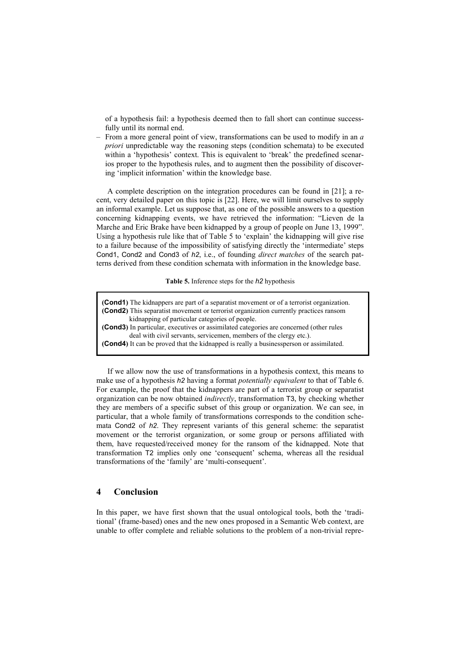of a hypothesis fail: a hypothesis deemed then to fall short can continue successfully until its normal end.

– From a more general point of view, transformations can be used to modify in an *a priori* unpredictable way the reasoning steps (condition schemata) to be executed within a 'hypothesis' context. This is equivalent to 'break' the predefined scenarios proper to the hypothesis rules, and to augment then the possibility of discovering 'implicit information' within the knowledge base.

A complete description on the integration procedures can be found in [21]; a recent, very detailed paper on this topic is [22]. Here, we will limit ourselves to supply an informal example. Let us suppose that, as one of the possible answers to a question concerning kidnapping events, we have retrieved the information: "Lieven de la Marche and Eric Brake have been kidnapped by a group of people on June 13, 1999". Using a hypothesis rule like that of Table 5 to 'explain' the kidnapping will give rise to a failure because of the impossibility of satisfying directly the 'intermediate' steps Cond1, Cond2 and Cond3 of *h2*, i.e., of founding *direct matches* of the search patterns derived from these condition schemata with information in the knowledge base.

**Table 5.** Inference steps for the *h2* hypothesis

| <b>(Cond1)</b> The kidnappers are part of a separatist movement or of a terrorist organization. |  |  |  |  |
|-------------------------------------------------------------------------------------------------|--|--|--|--|
| (Cond2) This separatist movement or terrorist organization currently practices ransom           |  |  |  |  |
| kidnapping of particular categories of people.                                                  |  |  |  |  |
| <b>(Cond3)</b> In particular, executives or assimilated categories are concerned (other rules   |  |  |  |  |
| deal with civil servants, servicemen, members of the clergy etc.).                              |  |  |  |  |
| (Cond4) It can be proved that the kidnapped is really a businessperson or assimilated.          |  |  |  |  |

If we allow now the use of transformations in a hypothesis context, this means to make use of a hypothesis *h2* having a format *potentially equivalent* to that of Table 6. For example, the proof that the kidnappers are part of a terrorist group or separatist organization can be now obtained *indirectly*, transformation T3, by checking whether they are members of a specific subset of this group or organization. We can see, in particular, that a whole family of transformations corresponds to the condition schemata Cond2 of *h2*. They represent variants of this general scheme: the separatist movement or the terrorist organization, or some group or persons affiliated with them, have requested/received money for the ransom of the kidnapped. Note that transformation T2 implies only one 'consequent' schema, whereas all the residual transformations of the 'family' are 'multi-consequent'.

### **4 Conclusion**

In this paper, we have first shown that the usual ontological tools, both the 'traditional' (frame-based) ones and the new ones proposed in a Semantic Web context, are unable to offer complete and reliable solutions to the problem of a non-trivial repre-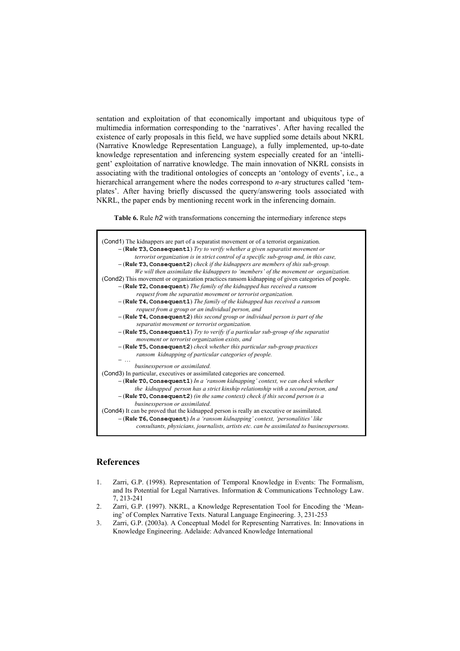sentation and exploitation of that economically important and ubiquitous type of multimedia information corresponding to the 'narratives'. After having recalled the existence of early proposals in this field, we have supplied some details about NKRL (Narrative Knowledge Representation Language), a fully implemented, up-to-date knowledge representation and inferencing system especially created for an 'intelligent' exploitation of narrative knowledge. The main innovation of NKRL consists in associating with the traditional ontologies of concepts an 'ontology of events', i.e., a hierarchical arrangement where the nodes correspond to *n*-ary structures called 'templates'. After having briefly discussed the query/answering tools associated with NKRL, the paper ends by mentioning recent work in the inferencing domain.

**Table 6.** Rule *h2* with transformations concerning the intermediary inference steps



### **References**

- 1. Zarri, G.P. (1998). Representation of Temporal Knowledge in Events: The Formalism, and Its Potential for Legal Narratives. Information & Communications Technology Law. 7, 213-241
- 2. Zarri, G.P. (1997). NKRL, a Knowledge Representation Tool for Encoding the 'Meaning' of Complex Narrative Texts. Natural Language Engineering. 3, 231-253
- 3. Zarri, G.P. (2003a). A Conceptual Model for Representing Narratives. In: Innovations in Knowledge Engineering. Adelaide: Advanced Knowledge International